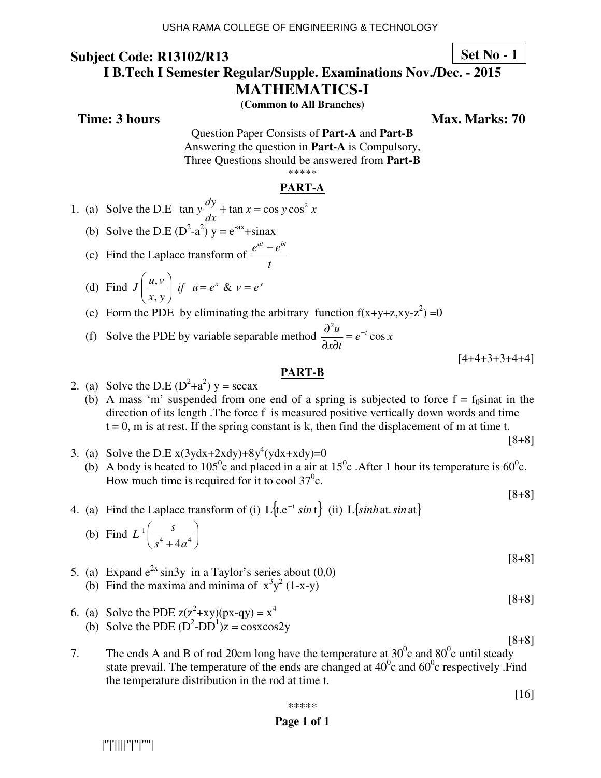**I B.Tech I Semester Regular/Supple. Examinations Nov./Dec. - 2015** 

**MATHEMATICS-I** 

**(Common to All Branches)** 

**Time: 3 hours** Max. Marks: 70

Question Paper Consists of **Part-A** and **Part-B** Answering the question in **Part-A** is Compulsory, Three Questions should be answered from **Part-B** \*\*\*\*\*

#### **PART-A**

- 1. (a) Solve the D.E  $\tan y \frac{dy}{dx} + \tan x = \cos y \cos^2 x$ *dx*  $+$  tan  $x =$
- (b) Solve the D.E  $(D^2-a^2)$  y =  $e^{-ax}$ +sinax
- (c) Find the Laplace transform of  $e^{at} - e^{bt}$ *t* −
- (d) Find  $J\left(\frac{u,v}{v}\right)$  if  $u=e^x$  & ,  $J\left(\frac{u,v}{v}\right)$  *if*  $u=e^x \& v=e^y$ *x y*  $\left(\frac{u,v}{x,y}\right)$  if  $u=e^x \& v=$
- (e) Form the PDE by eliminating the arbitrary function  $f(x+y+z, xy-z^2) = 0$
- (f) Solve the PDE by variable separable method 2  $\frac{u}{2} = e^{-t} \cos x$ *x t*  $\frac{\partial^2 u}{\partial x^2} = e^{-x}$  $\partial x\partial$

 $[4+4+3+3+4+4]$ 

#### **PART-B**

- 2. (a) Solve the D.E  $(D^2+a^2)y = \sec ax$ 
	- (b) A mass 'm' suspended from one end of a spring is subjected to force  $f = f_0$ sinat in the direction of its length .The force f is measured positive vertically down words and time  $t = 0$ , m is at rest. If the spring constant is k, then find the displacement of m at time t.
- 3. (a) Solve the D.E  $x(3ydx+2xdy)+8y^4(ydx+xdy)=0$ (b) A body is heated to 105<sup>0</sup>c and placed in a air at 15<sup>0</sup>c. After 1 hour its temperature is 60<sup>0</sup>c. How much time is required for it to cool  $37^\circ$ c.
- 4. (a) Find the Laplace transform of (i)  $L$ <sub>1</sub>  $\{t.e^{-t} \sin t\}$  (ii)  $L$ *{sinhat sinat}*

(b) Find 
$$
L^{-1}\left(\frac{s}{s^4+4a^4}\right)
$$

- 5. (a) Expand  $e^{2x} \sin 3y$  in a Taylor's series about (0,0) (b) Find the maxima and minima of  $x^3y^2$  (1-x-y)
- [8+8] 6. (a) Solve the PDE  $z(z^2+xy)(px-qy) = x^4$
- (b) Solve the PDE  $(D^2-DD^1)z = \cos x \cos 2y$
- 7. The ends A and B of rod 20cm long have the temperature at  $30^{\circ}$ c and  $80^{\circ}$ c until steady state prevail. The temperature of the ends are changed at  $40^{\circ}$ c and  $60^{\circ}$ c respectively. Find the temperature distribution in the rod at time t.

[16]

[8+8]

$$
\begin{array}{c}\n * \ast \ast \ast \\
\bullet \quad \text{Page 1 of 1}\n \end{array}
$$

|''|'||||''|''|''''|

**Set No - 1**

[8+8]

[8+8]

[8+8]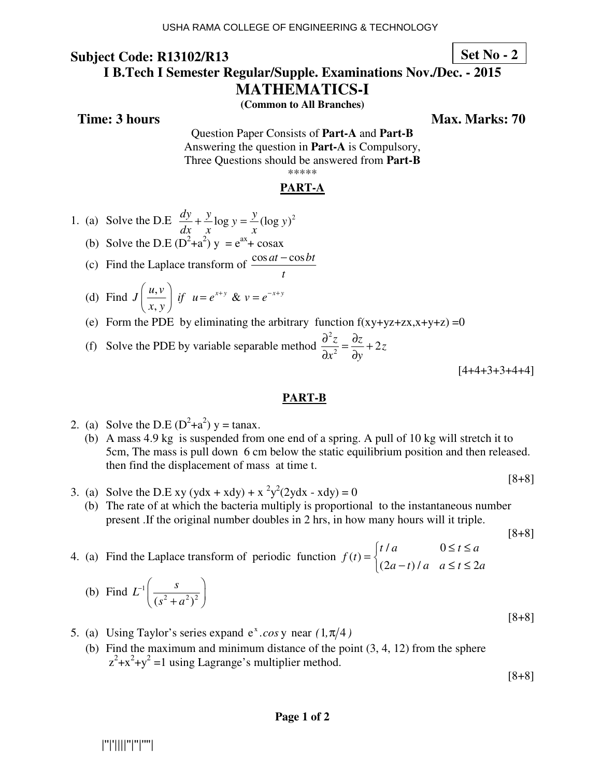**Set No - 2**

#### **I B.Tech I Semester Regular/Supple. Examinations Nov./Dec. - 2015**

**MATHEMATICS-I** 

**(Common to All Branches)** 

**Time: 3 hours** Max. Marks: 70

Question Paper Consists of **Part-A** and **Part-B** Answering the question in **Part-A** is Compulsory, Three Questions should be answered from **Part-B** \*\*\*\*\*

#### **PART-A**

- 1. (a) Solve the D.E  $\frac{dy}{dx} + \frac{y}{y} \log y = \frac{y}{y} (\log y)^2$ *dx x x*  $+\frac{y}{\sqrt{2}}\log y =$
- (b) Solve the D.E  $(D^2+a^2)y = e^{ax} + \cos ax$
- (c) Find the Laplace transform of  $\frac{\cos at \cos bt}{\cos at}$ *t* −
- (d) Find  $J\left(\frac{u,v}{v}\right)$  if  $u=e^{x+y}$  & ,  $J\left(\frac{u,v}{v}\right)$  *if*  $u=e^{x+y}$  &  $v=e^{-x+y}$ *x y*  $\left(\frac{u,v}{x,y}\right)$  if  $u = e^{x+y}$  &  $v = e^{-x+y}$ 
	- (e) Form the PDE by eliminating the arbitrary function  $f(xy+yz+zx,x+y+z) = 0$
- (f) Solve the PDE by variable separable method 2  $\frac{z}{2} = \frac{\partial z}{\partial y} + 2z$  $x^2$  dy  $\frac{\partial^2 z}{\partial x^2} = \frac{\partial z}{\partial x} +$  $\partial x^2 \quad \partial$

 $[4+4+3+3+4+4]$ 

#### **PART-B**

- 2. (a) Solve the D.E  $(D^2+a^2)$  y = tanax.
	- (b) A mass 4.9 kg is suspended from one end of a spring. A pull of 10 kg will stretch it to 5cm, The mass is pull down 6 cm below the static equilibrium position and then released. then find the displacement of mass at time t.

[8+8]

- 3. (a) Solve the D.E xy (ydx + xdy) +  $x^2y^2(2ydx xdy) = 0$ 
	- (b) The rate of at which the bacteria multiply is proportional to the instantaneous number present .If the original number doubles in 2 hrs, in how many hours will it triple.

[8+8]

4. (a) Find the Laplace transform of periodic function  $/a$  0  $(t)$  $(2a - t)/a$   $a \le t \le 2$  $t/a$   $0 \le t \le a$ *f t*  $a-t$ *a*  $a \le t \le 2a$  $\begin{cases} t/a & 0 \leq t \leq \end{cases}$  $=\{$  $\begin{cases} (2a-t)/a & a \leq t \leq \end{cases}$ 

(b) Find 
$$
L^{-1} \left( \frac{s}{(s^2 + a^2)^2} \right)
$$

- 5. (a) Using Taylor's series expand  $e^x \cdot cos y$  near  $(1, \pi/4)$ 
	- (b) Find the maximum and minimum distance of the point (3, 4, 12) from the sphere  $z^2+x^2+y^2=1$  using Lagrange's multiplier method.

[8+8]

[8+8]

|''|'||||''|''|''''|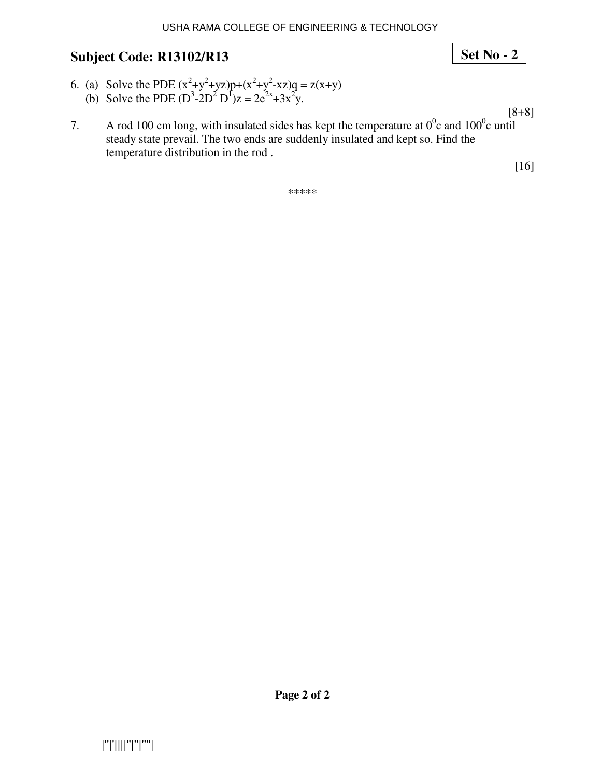- 6. (a) Solve the PDE  $(x^2+y^2+yz)p+(x^2+y^2-xz)q = z(x+y)$ (b) Solve the PDE  $(D^3 - 2D^2 D^1)z = 2e^{2x} + 3x^2y$ .
- 7. A rod 100 cm long, with insulated sides has kept the temperature at  $0^0$ c and  $100^0$ c until steady state prevail. The two ends are suddenly insulated and kept so. Find the temperature distribution in the rod .

\*\*\*\*\*

[8+8]

## **Set No - 2**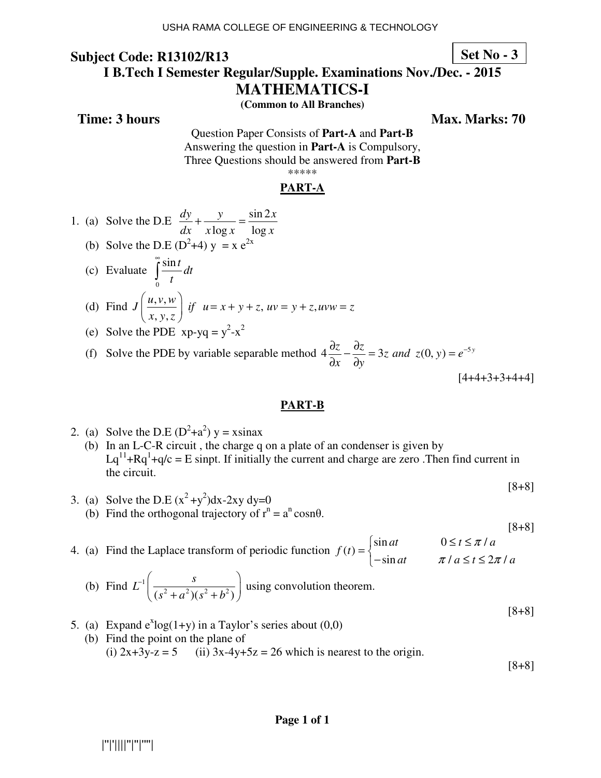**Set No - 3**

#### **I B.Tech I Semester Regular/Supple. Examinations Nov./Dec. - 2015**

**MATHEMATICS-I** 

**(Common to All Branches)** 

**Time: 3 hours** Max. Marks: 70

Question Paper Consists of **Part-A** and **Part-B** Answering the question in **Part-A** is Compulsory, Three Questions should be answered from **Part-B** \*\*\*\*\*

#### **PART-A**

- 1. (a) Solve the D.E  $\frac{dy}{dx} + \frac{y}{dx} = \frac{\sin 2}{x}$  $\log x$   $\log x$  $dy$  y  $\sin 2x$  $dx$   $x \log x$   $\log x$  $+\frac{y}{1}$  =
- (b) Solve the D.E ( $D^2+4$ )  $y = x e^{2x}$
- (c) Evaluate  $\mathbf{0}$  $\frac{\sin t}{\cosh t}$ *t* ∞
- (d) Find  $J\left(\frac{u,v,w}{v}\right)$  if  $u = x + y + z$ ,  $uv = y + z$ , , y,  $J\left(\frac{u,v,w}{v}\right)$  *if*  $u = x + y + z$ ,  $uv = y + z$ ,  $uvw = z$ *x y z*  $\left(\frac{u,v,w}{x,y,z}\right)$  if  $u=x+y+z$ ,  $uv=y+z$ ,  $uvw=z$
- (e) Solve the PDE  $xp-yq = y^2-x^2$

(f) Solve the PDE by variable separable method  $4\frac{\partial z}{\partial x} - \frac{\partial z}{\partial y} = 3z$  and  $z(0, y) = e^{-5y}$ *x dy*  $\frac{\partial z}{\partial z} - \frac{\partial z}{\partial z} = 3z$  and  $z(0, y) = e^{-\frac{z^2}{2}}$  $\partial x \quad \partial$ 

 $[4+4+3+3+4+4]$ 

#### **PART-B**

2. (a) Solve the D.E  $(D^2+a^2)y = x\sin ax$ (b) In an L-C-R circuit , the charge q on a plate of an condenser is given by  $Lq^{11}+Rq^{1}+q/c = E$  sinpt. If initially the current and charge are zero . Then find current in the circuit.

$$
[\mathbf{8} + \mathbf{8}]
$$

3. (a) Solve the D.E  $(x^2+y^2)dx-2xy dy=0$ (b) Find the orthogonal trajectory of  $r^n = a^n \cosh \theta$ .

$$
[8+8]
$$

4. (a) Find the Laplace transform of periodic function  $\sin at$   $0 \le t \le \pi /$  $(t)$  $\sin at \qquad \pi / a \leq t \leq 2\pi /$ *at*  $0 \le t \le \pi/a$ *f t*  $\int \sin at \qquad 0 \leq t \leq$  $=\{$  $\begin{cases} -\sin at & \pi/a \leq t \leq \end{cases}$ 

(b) Find 
$$
L^{-1}\left(\frac{s}{(s^2 + a^2)(s^2 + b^2)}\right)
$$
 using convolution theorem.

[8+8]

π  $\pi / a \leq t \leq 2\pi$ 

5. (a) Expand  $e^x \log(1+y)$  in a Taylor's series about  $(0,0)$ (b) Find the point on the plane of (i)  $2x+3y-z = 5$  (ii)  $3x-4y+5z = 26$  which is nearest to the origin. [8+8]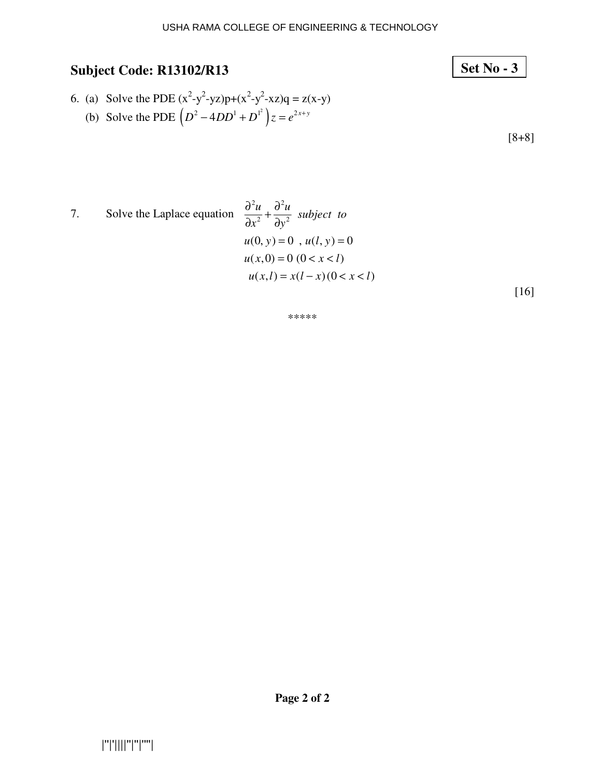# 6. (a) Solve the PDE  $(x^2-y^2-yz)p+(x^2-y^2-xz)q = z(x-y)$ (b) Solve the PDE  $(D^2 - 4DD^1 + D^{1^2})z = e^{2x+y}$

**Set No - 3**

[8+8]

7. Solve the Laplace equation 
$$
\frac{\partial^2 u}{\partial x^2} + \frac{\partial^2 u}{\partial y^2}
$$
 subject to  

$$
u(0, y) = 0, u(l, y) = 0
$$

$$
u(x, 0) = 0 \quad (0 < x < l)
$$

$$
u(x, l) = x(l - x) (0 < x < l)
$$
 [16]

\*\*\*\*\*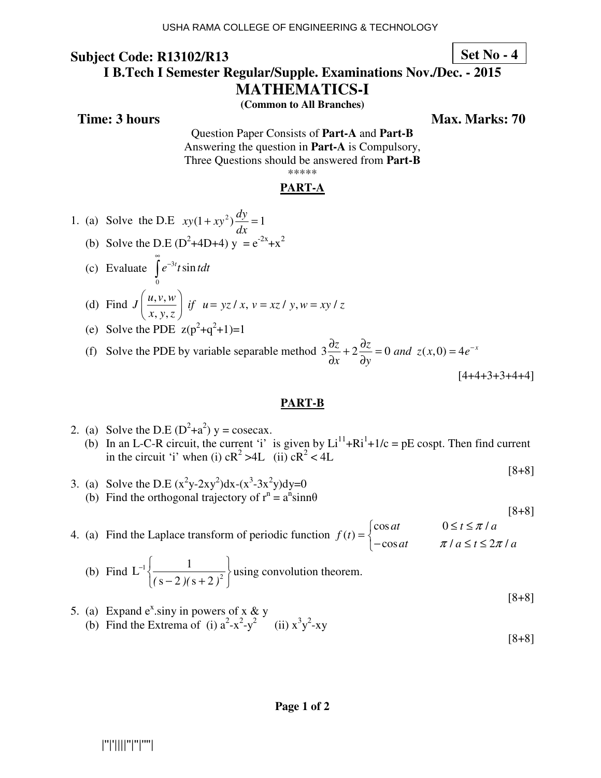**Set No - 4**

#### **I B.Tech I Semester Regular/Supple. Examinations Nov./Dec. - 2015**

**MATHEMATICS-I** 

**(Common to All Branches)** 

**Time: 3 hours** Max. Marks: 70

Question Paper Consists of **Part-A** and **Part-B** Answering the question in **Part-A** is Compulsory, Three Questions should be answered from **Part-B** \*\*\*\*\*

#### **PART-A**

- 1. (a) Solve the D.E  $xy(1 + xy^2)\frac{dy}{dx} = 1$ *dx*  $+ xy^2 \frac{dy}{dx} =$
- (b) Solve the D.E ( $D^2+4D+4$ )  $y = e^{-2x}+x^2$
- (c) Evaluate  $\int e^{-3}$  $\mathbf{0}$  $e^{-3t}t\sin t$ ∞  $\int e^{-}$

(d) Find 
$$
J\left(\frac{u, v, w}{x, y, z}\right)
$$
 if  $u = yz/x$ ,  $v = xz/y$ ,  $w = xy/z$ 

(e) Solve the PDE  $z(p^2+q^2+1)=1$ 

(f) Solve the PDE by variable separable method  $3\frac{\partial z}{\partial x} + 2\frac{\partial z}{\partial y} = 0$  and  $z(x,0) = 4e^{-x}$  $x \partial y$  $\frac{\partial z}{\partial z} + 2 \frac{\partial z}{\partial z} = 0$  and  $z(x,0) = 4e^{-x}$  $\partial x$   $\partial$  $[4+4+3+3+4+4]$ 

#### **PART-B**

- 2. (a) Solve the D.E  $(D^2+a^2)$  y = cosecax. (b) In an L-C-R circuit, the current 'i' is given by  $Li^{11} + Ri^{1} + 1/c = pE$  cospt. Then find current in the circuit 'i' when (i)  $cR^2 > 4L$  (ii)  $cR^2 < 4L$ 
	- [8+8]
- 3. (a) Solve the D.E  $(x^2y-2xy^2)dx-(x^3-3x^2y)dy=0$ (b) Find the orthogonal trajectory of  $r^n = a^n sin n\theta$
- 4. (a) Find the Laplace transform of periodic function  $\cos at$   $0 \le t \le \pi /$  $(t)$  $\cos at$   $\pi / a \le t \le 2\pi /$ *at*  $0 \le t \le \pi/a$ *f t at*  $\pi / a \leq t \leq 2\pi / a$ π  $\pi / a \leq t \leq 2\pi$  $\begin{cases} \cos at & 0 \leq t \leq \end{cases}$  $=\{$  $\begin{cases} -\cos at & \pi/a \leq t \leq \end{cases}$

(b) Find 
$$
L^{-1}\left\{\frac{1}{(s-2)(s+2)^2}\right\}
$$
 using convolution theorem.

[8+8] 5. (a) Expand  $e^x$  siny in powers of x & y (b) Find the Extrema of (i)  $a^2-x^2-y^2$  (ii)  $x^3y^2-xy$ 

[8+8]

[8+8]

#### **Page 1 of 2**

### |''|'||||''|''|''''|